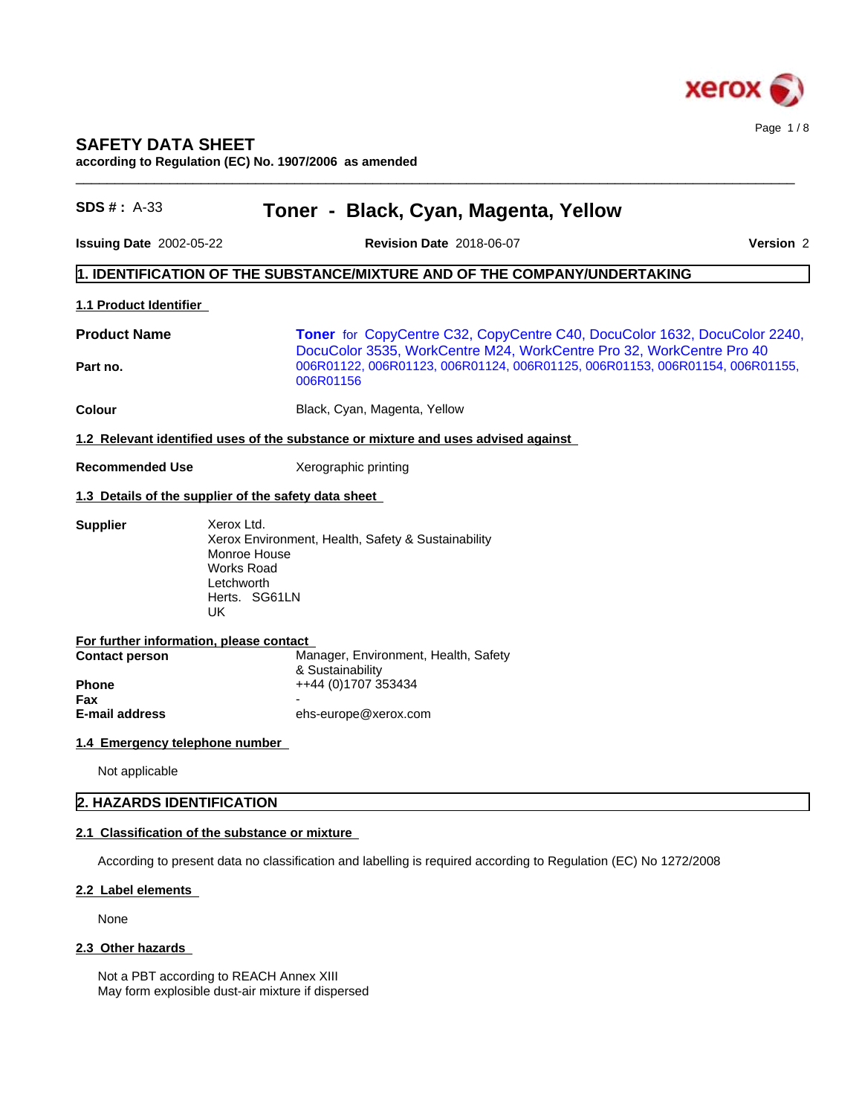

# **SAFETY DATA SHEET**

**according to Regulation (EC) No. 1907/2006 as amended**

| <b>SDS #: A-33</b>             | Toner - Black, Cyan, Magenta, Yellow                                                                                                                              |  |
|--------------------------------|-------------------------------------------------------------------------------------------------------------------------------------------------------------------|--|
| Issuing Date 2002-05-22        | Version 2<br><b>Revision Date 2018-06-07</b>                                                                                                                      |  |
|                                | $\vert$ 1. IDENTIFICATION OF THE SUBSTANCE/MIXTURE AND OF THE COMPANY/UNDERTAKING                                                                                 |  |
| 1.1 Product Identifier         |                                                                                                                                                                   |  |
| <b>Product Name</b>            | <b>Toner</b> for CopyCentre C32, CopyCentre C40, DocuColor 1632, DocuColor 2240,                                                                                  |  |
| Part no.                       | DocuColor 3535, WorkCentre M24, WorkCentre Pro 32, WorkCentre Pro 40<br>006R01122, 006R01123, 006R01124, 006R01125, 006R01153, 006R01154, 006R01155,<br>006R01156 |  |
| Colour                         | Black, Cyan, Magenta, Yellow                                                                                                                                      |  |
|                                | 1.2 Relevant identified uses of the substance or mixture and uses advised against                                                                                 |  |
| <b>Recommended Use</b>         | Xerographic printing                                                                                                                                              |  |
|                                | 1.3 Details of the supplier of the safety data sheet                                                                                                              |  |
|                                | Xerox Environment, Health, Safety & Sustainability<br>Monroe House<br><b>Works Road</b><br>Letchworth<br>Herts. SG61LN<br>UK.                                     |  |
|                                | For further information, please contact<br>Manager, Environment, Health, Safety                                                                                   |  |
| <b>Contact person</b>          | & Sustainability                                                                                                                                                  |  |
| <b>Phone</b><br>Fax            | ++44 (0)1707 353434                                                                                                                                               |  |
| <b>E-mail address</b>          | ehs-europe@xerox.com                                                                                                                                              |  |
| 1.4 Emergency telephone number |                                                                                                                                                                   |  |
| Not applicable                 |                                                                                                                                                                   |  |
| 2. HAZARDS IDENTIFICATION      |                                                                                                                                                                   |  |
|                                | 2.1 Classification of the substance or mixture                                                                                                                    |  |
|                                | According to present data no classification and labelling is required according to Regulation (EC) No 1272/2008                                                   |  |
| 2.2 Label elements             |                                                                                                                                                                   |  |
| None                           |                                                                                                                                                                   |  |
| 2.3 Other hazards              |                                                                                                                                                                   |  |
|                                | Not a PBT according to REACH Annex XIII                                                                                                                           |  |

May form explosible dust-air mixture if dispersed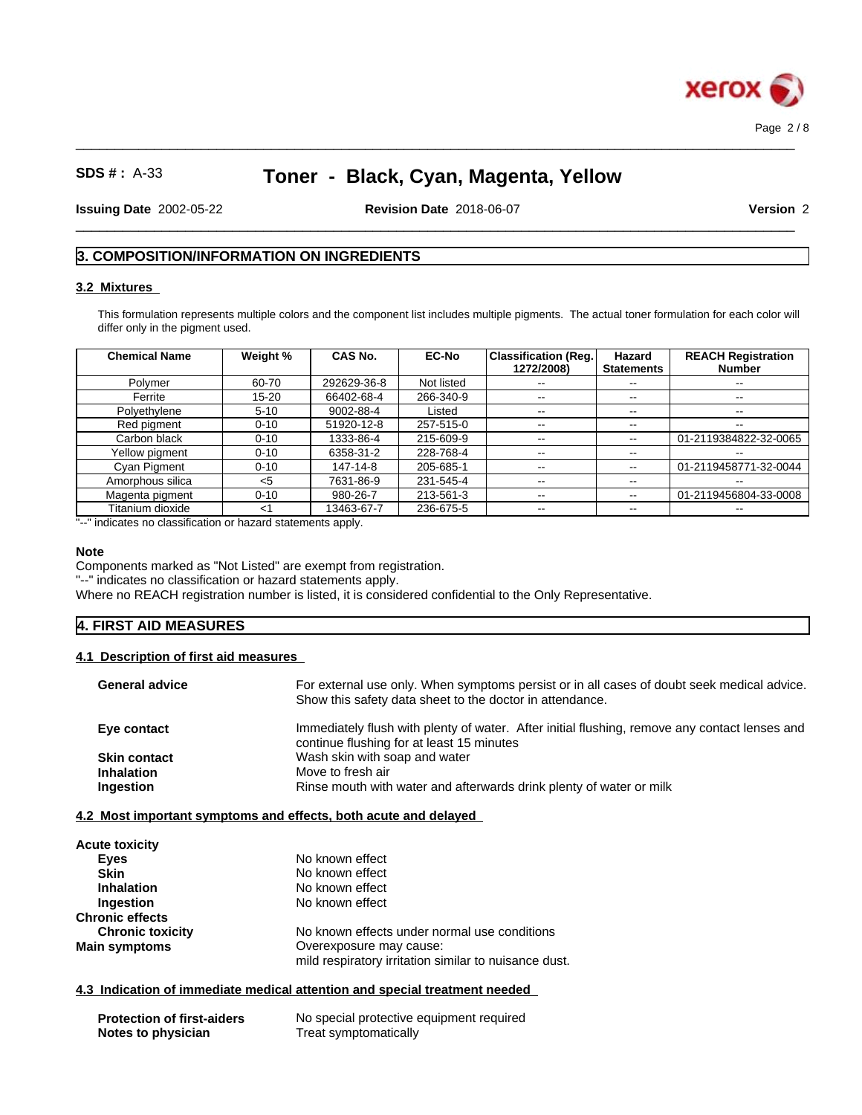

Page 2 / 8

# **SDS # :** A-33 **Toner - Black, Cyan, Magenta, Yellow**

 $\_$  ,  $\_$  ,  $\_$  ,  $\_$  ,  $\_$  ,  $\_$  ,  $\_$  ,  $\_$  ,  $\_$  ,  $\_$  ,  $\_$  ,  $\_$  ,  $\_$  ,  $\_$  ,  $\_$  ,  $\_$  ,  $\_$  ,  $\_$  ,  $\_$  ,  $\_$  ,  $\_$  ,  $\_$  ,  $\_$  ,  $\_$  ,  $\_$  ,  $\_$  ,  $\_$  ,  $\_$  ,  $\_$  ,  $\_$  ,  $\_$  ,  $\_$  ,  $\_$  ,  $\_$  ,  $\_$  ,  $\_$  ,  $\_$  ,

**Issuing Date** 2002-05-22 **Revision Date** 2018-06-07 **Version** 2

 $\_$  ,  $\_$  ,  $\_$  ,  $\_$  ,  $\_$  ,  $\_$  ,  $\_$  ,  $\_$  ,  $\_$  ,  $\_$  ,  $\_$  ,  $\_$  ,  $\_$  ,  $\_$  ,  $\_$  ,  $\_$  ,  $\_$  ,  $\_$  ,  $\_$  ,  $\_$  ,  $\_$  ,  $\_$  ,  $\_$  ,  $\_$  ,  $\_$  ,  $\_$  ,  $\_$  ,  $\_$  ,  $\_$  ,  $\_$  ,  $\_$  ,  $\_$  ,  $\_$  ,  $\_$  ,  $\_$  ,  $\_$  ,  $\_$  ,

## **3. COMPOSITION/INFORMATION ON INGREDIENTS**

## **3.2 Mixtures**

This formulation represents multiple colors and the component list includes multiple pigments. The actual toner formulation for each color will differ only in the pigment used.

| <b>Chemical Name</b> | Weight %  | CAS No.     | <b>EC-No</b> | <b>Classification (Reg.)</b> | Hazard            | <b>REACH Registration</b> |
|----------------------|-----------|-------------|--------------|------------------------------|-------------------|---------------------------|
|                      |           |             |              | 1272/2008)                   | <b>Statements</b> | <b>Number</b>             |
| Polymer              | 60-70     | 292629-36-8 | Not listed   | $\sim$ $-$                   | $- -$             | $\sim$                    |
| Ferrite              | $15 - 20$ | 66402-68-4  | 266-340-9    | $- -$                        | $\sim$ $\sim$     | $- -$                     |
| Polyethylene         | $5 - 10$  | 9002-88-4   | Listed       | $- -$                        | $\sim$ $\sim$     | $\sim$ $\sim$             |
| Red pigment          | $0 - 10$  | 51920-12-8  | 257-515-0    | $- -$                        | $\sim$ $\sim$     | $\overline{\phantom{a}}$  |
| Carbon black         | $0 - 10$  | 1333-86-4   | 215-609-9    | $- -$                        | $\sim$ $\sim$     | 01-2119384822-32-0065     |
| Yellow pigment       | $0 - 10$  | 6358-31-2   | 228-768-4    | $- -$                        | $\sim$ $\sim$     | $\overline{\phantom{m}}$  |
| Cyan Pigment         | $0 - 10$  | 147-14-8    | 205-685-1    | $\overline{\phantom{m}}$     | $\sim$ $\sim$     | 01-2119458771-32-0044     |
| Amorphous silica     | $<$ 5     | 7631-86-9   | 231-545-4    | $\sim$ $\sim$                | $\sim$ $\sim$     | $\overline{\phantom{a}}$  |
| Magenta pigment      | $0 - 10$  | 980-26-7    | 213-561-3    | $- -$                        | $\sim$ $\sim$     | 01-2119456804-33-0008     |
| Titanium dioxide     | <1        | 13463-67-7  | 236-675-5    | $- -$                        | $\sim$ $\sim$     | $- -$                     |

"--" indicates no classification or hazard statements apply.

#### **Note**

Components marked as "Not Listed" are exempt from registration.

"--" indicates no classification or hazard statements apply.

Where no REACH registration number is listed, it is considered confidential to the Only Representative.

## **4. FIRST AID MEASURES**

### **4.1 Description of first aid measures**

| <b>General advice</b> | For external use only. When symptoms persist or in all cases of doubt seek medical advice.<br>Show this safety data sheet to the doctor in attendance. |
|-----------------------|--------------------------------------------------------------------------------------------------------------------------------------------------------|
| Eye contact           | Immediately flush with plenty of water. After initial flushing, remove any contact lenses and<br>continue flushing for at least 15 minutes             |
| <b>Skin contact</b>   | Wash skin with soap and water                                                                                                                          |
| <b>Inhalation</b>     | Move to fresh air                                                                                                                                      |
| Ingestion             | Rinse mouth with water and afterwards drink plenty of water or milk                                                                                    |
|                       |                                                                                                                                                        |

### **4.2 Most important symptoms and effects, both acute and delayed**

| <b>Acute toxicity</b>   |                                                       |  |
|-------------------------|-------------------------------------------------------|--|
| Eyes                    | No known effect                                       |  |
| <b>Skin</b>             | No known effect                                       |  |
| <b>Inhalation</b>       | No known effect                                       |  |
| Ingestion               | No known effect                                       |  |
| <b>Chronic effects</b>  |                                                       |  |
| <b>Chronic toxicity</b> | No known effects under normal use conditions          |  |
| <b>Main symptoms</b>    | Overexposure may cause:                               |  |
|                         | mild respiratory irritation similar to nuisance dust. |  |

#### **4.3 Indication of immediate medical attention and special treatment needed**

| <b>Protection of first-aiders</b> | No special protective equipment required |
|-----------------------------------|------------------------------------------|
| Notes to physician                | Treat symptomatically                    |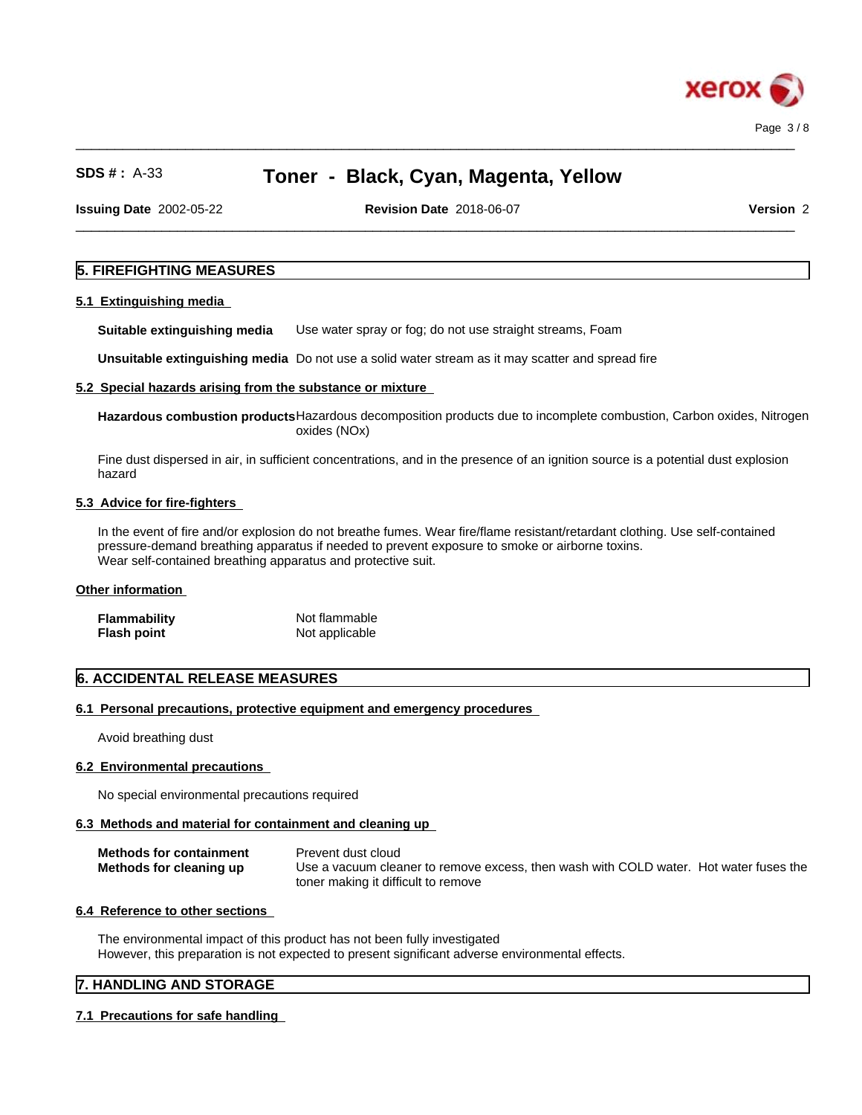

**Issuing Date** 2002-05-22 **Revision Date** 2018-06-07 **Version** 2

 $\_$  ,  $\_$  ,  $\_$  ,  $\_$  ,  $\_$  ,  $\_$  ,  $\_$  ,  $\_$  ,  $\_$  ,  $\_$  ,  $\_$  ,  $\_$  ,  $\_$  ,  $\_$  ,  $\_$  ,  $\_$  ,  $\_$  ,  $\_$  ,  $\_$  ,  $\_$  ,  $\_$  ,  $\_$  ,  $\_$  ,  $\_$  ,  $\_$  ,  $\_$  ,  $\_$  ,  $\_$  ,  $\_$  ,  $\_$  ,  $\_$  ,  $\_$  ,  $\_$  ,  $\_$  ,  $\_$  ,  $\_$  ,  $\_$  ,

 $\_$  ,  $\_$  ,  $\_$  ,  $\_$  ,  $\_$  ,  $\_$  ,  $\_$  ,  $\_$  ,  $\_$  ,  $\_$  ,  $\_$  ,  $\_$  ,  $\_$  ,  $\_$  ,  $\_$  ,  $\_$  ,  $\_$  ,  $\_$  ,  $\_$  ,  $\_$  ,  $\_$  ,  $\_$  ,  $\_$  ,  $\_$  ,  $\_$  ,  $\_$  ,  $\_$  ,  $\_$  ,  $\_$  ,  $\_$  ,  $\_$  ,  $\_$  ,  $\_$  ,  $\_$  ,  $\_$  ,  $\_$  ,  $\_$  ,

## **5. FIREFIGHTING MEASURES**

#### **5.1 Extinguishing media**

**Suitable extinguishing media** Use water spray or fog; do not use straight streams, Foam

**Unsuitable extinguishing media** Do not use a solid water stream as it may scatterand spread fire

### **5.2 Special hazards arising from the substance or mixture**

**Hazardous combustion products**Hazardous decomposition products due to incomplete combustion, Carbon oxides, Nitrogen oxides (NOx)

Fine dust dispersed in air, in sufficient concentrations, and in the presence of an ignition source is a potential dust explosion hazard

### **5.3 Advice for fire-fighters**

In the event of fire and/or explosion do not breathe fumes. Wear fire/flame resistant/retardant clothing. Use self-contained pressure-demand breathing apparatus if needed to prevent exposure to smoke or airborne toxins. Wear self-contained breathing apparatus and protective suit.

#### **Other information**

| <b>Flammability</b> | Not flammable  |
|---------------------|----------------|
| <b>Flash point</b>  | Not applicable |

## **6. ACCIDENTAL RELEASE MEASURES**

#### **6.1 Personal precautions, protective equipment and emergency procedures**

Avoid breathing dust

#### **6.2 Environmental precautions**

No special environmental precautions required

## **6.3 Methods and material for containment and cleaning up**

| <b>Methods for containment</b> | Prevent dust cloud                                                                    |
|--------------------------------|---------------------------------------------------------------------------------------|
| Methods for cleaning up        | Use a vacuum cleaner to remove excess, then wash with COLD water. Hot water fuses the |
|                                | toner making it difficult to remove                                                   |

## **6.4 Reference to other sections**

The environmental impact of this product has not been fully investigated However, this preparation is not expected to present significant adverse environmental effects.

## **7. HANDLING AND STORAGE**

## **7.1 Precautions for safe handling**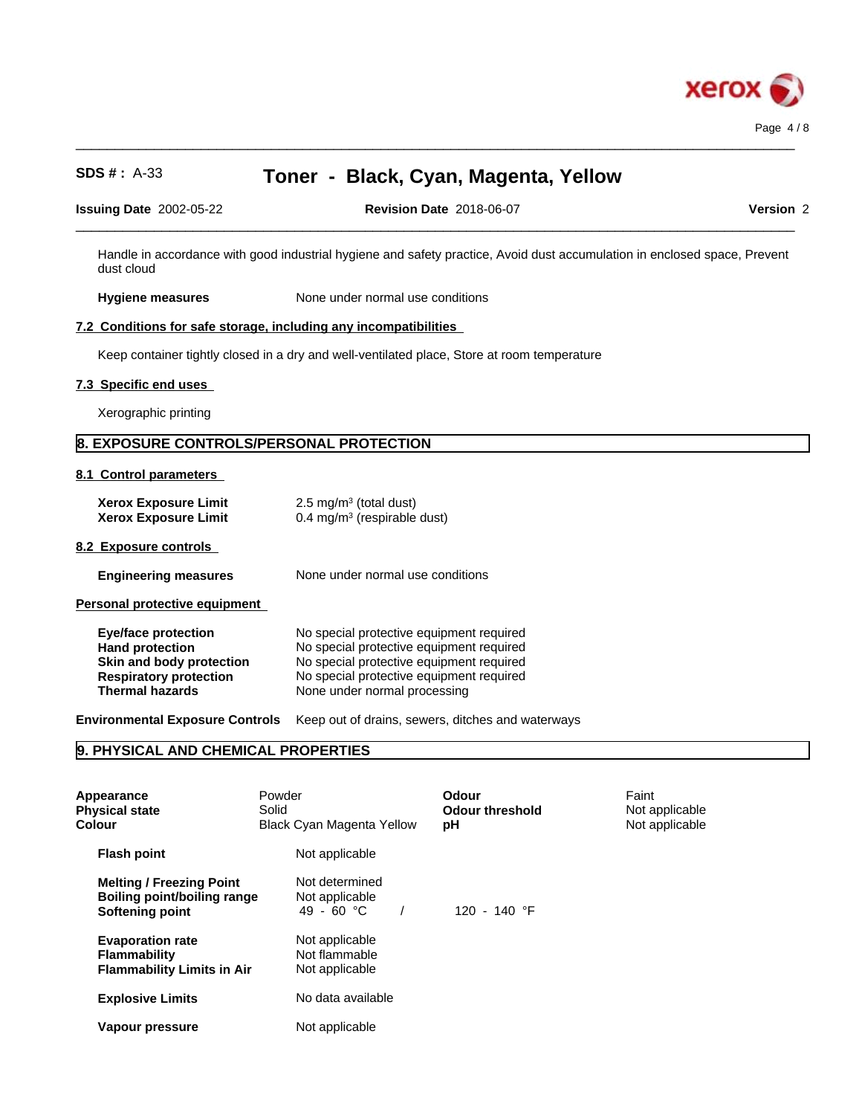

| $\sim$<br>2002-05-22<br><b>Issuinc</b><br>Date | $\sim$<br>2018-06-07<br><b>Date</b><br><b>Revision</b> | <b>rsion</b> |
|------------------------------------------------|--------------------------------------------------------|--------------|
|                                                |                                                        |              |

 $\_$  ,  $\_$  ,  $\_$  ,  $\_$  ,  $\_$  ,  $\_$  ,  $\_$  ,  $\_$  ,  $\_$  ,  $\_$  ,  $\_$  ,  $\_$  ,  $\_$  ,  $\_$  ,  $\_$  ,  $\_$  ,  $\_$  ,  $\_$  ,  $\_$  ,  $\_$  ,  $\_$  ,  $\_$  ,  $\_$  ,  $\_$  ,  $\_$  ,  $\_$  ,  $\_$  ,  $\_$  ,  $\_$  ,  $\_$  ,  $\_$  ,  $\_$  ,  $\_$  ,  $\_$  ,  $\_$  ,  $\_$  ,  $\_$  ,

Handle in accordance with good industrial hygiene and safety practice, Avoid dust accumulation in enclosed space, Prevent dust cloud

**Hygiene measures** None under normal use conditions

#### **7.2 Conditions for safe storage, including any incompatibilities**

Keep container tightly closed in a dry and well-ventilated place, Store at room temperature

#### **7.3 Specific end uses**

Xerographic printing

## **8. EXPOSURE CONTROLS/PERSONAL PROTECTION**

**8.1 Control parameters**

| <b>Xerox Exposure Limit</b> | 2.5 mg/m <sup>3</sup> (total dust)     |
|-----------------------------|----------------------------------------|
| <b>Xerox Exposure Limit</b> | $0.4 \text{ mg/m}^3$ (respirable dust) |

#### **8.2 Exposure controls**

| <b>Engineering measures</b> | None under normal use conditions |  |
|-----------------------------|----------------------------------|--|
|-----------------------------|----------------------------------|--|

**Personal protective equipment**

| <b>Eye/face protection</b>    | No special protective equipment required |
|-------------------------------|------------------------------------------|
| <b>Hand protection</b>        | No special protective equipment required |
| Skin and body protection      | No special protective equipment required |
| <b>Respiratory protection</b> | No special protective equipment required |
| <b>Thermal hazards</b>        | None under normal processing             |

**Environmental Exposure Controls** Keep out of drains, sewers, ditches and waterways

## **9. PHYSICAL AND CHEMICAL PROPERTIES**

| Appearance<br><b>Physical state</b><br><b>Colour</b>                                     | Powder<br>Solid<br><b>Black Cyan Magenta Yellow</b> | Odour<br><b>Odour threshold</b><br>рH | Faint<br>Not applicable<br>Not applicable |  |
|------------------------------------------------------------------------------------------|-----------------------------------------------------|---------------------------------------|-------------------------------------------|--|
| <b>Flash point</b>                                                                       | Not applicable                                      |                                       |                                           |  |
| <b>Melting / Freezing Point</b><br><b>Boiling point/boiling range</b><br>Softening point | Not determined<br>Not applicable<br>49 - 60 °C      | 120 - 140 °F                          |                                           |  |
| <b>Evaporation rate</b><br><b>Flammability</b><br><b>Flammability Limits in Air</b>      | Not applicable<br>Not flammable<br>Not applicable   |                                       |                                           |  |
| <b>Explosive Limits</b>                                                                  | No data available                                   |                                       |                                           |  |
| Vapour pressure                                                                          | Not applicable                                      |                                       |                                           |  |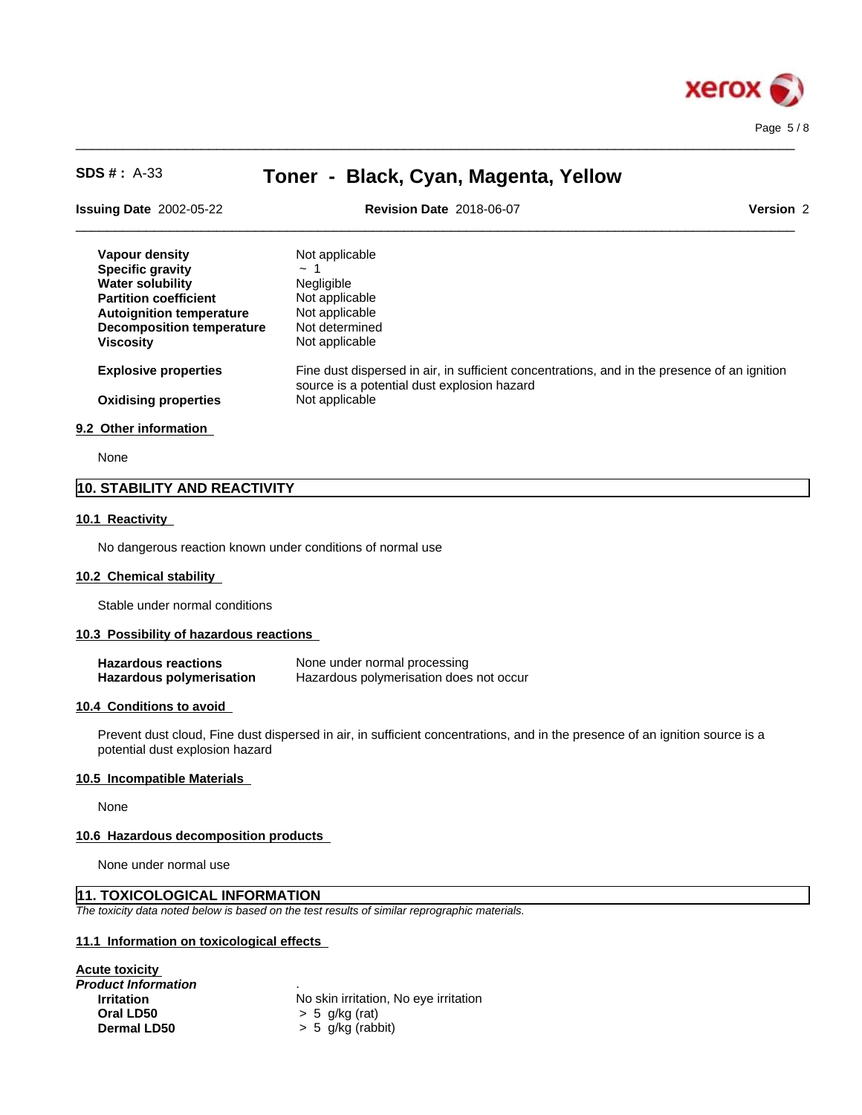

| <b>Issuing Date 2002-05-22</b>   | <b>Revision Date 2018-06-07</b><br>Version 2                                                                                                |  |
|----------------------------------|---------------------------------------------------------------------------------------------------------------------------------------------|--|
| Vapour density                   | Not applicable                                                                                                                              |  |
| <b>Specific gravity</b>          | $\sim$ 1                                                                                                                                    |  |
| <b>Water solubility</b>          | Negligible                                                                                                                                  |  |
| <b>Partition coefficient</b>     | Not applicable                                                                                                                              |  |
| <b>Autoignition temperature</b>  | Not applicable                                                                                                                              |  |
| <b>Decomposition temperature</b> | Not determined                                                                                                                              |  |
| <b>Viscosity</b>                 | Not applicable                                                                                                                              |  |
| <b>Explosive properties</b>      | Fine dust dispersed in air, in sufficient concentrations, and in the presence of an ignition<br>source is a potential dust explosion hazard |  |
| <b>Oxidising properties</b>      | Not applicable                                                                                                                              |  |
| 9.2 Other information            |                                                                                                                                             |  |

 $\_$  ,  $\_$  ,  $\_$  ,  $\_$  ,  $\_$  ,  $\_$  ,  $\_$  ,  $\_$  ,  $\_$  ,  $\_$  ,  $\_$  ,  $\_$  ,  $\_$  ,  $\_$  ,  $\_$  ,  $\_$  ,  $\_$  ,  $\_$  ,  $\_$  ,  $\_$  ,  $\_$  ,  $\_$  ,  $\_$  ,  $\_$  ,  $\_$  ,  $\_$  ,  $\_$  ,  $\_$  ,  $\_$  ,  $\_$  ,  $\_$  ,  $\_$  ,  $\_$  ,  $\_$  ,  $\_$  ,  $\_$  ,  $\_$  ,

None

## **10. STABILITY AND REACTIVITY**

#### **10.1 Reactivity**

No dangerous reaction known under conditions of normal use

#### **10.2 Chemical stability**

Stable under normal conditions

#### **10.3 Possibility of hazardous reactions**

| <b>Hazardous reactions</b>      | None under normal processing            |
|---------------------------------|-----------------------------------------|
| <b>Hazardous polymerisation</b> | Hazardous polymerisation does not occur |

#### **10.4 Conditions to avoid**

Prevent dust cloud, Fine dust dispersed in air, in sufficient concentrations, and in the presence of an ignition source is a potential dust explosion hazard

#### **10.5 Incompatible Materials**

None

#### **10.6 Hazardous decomposition products**

None under normal use

## **11. TOXICOLOGICAL INFORMATION**

*The toxicity data noted below is based on the test results of similar reprographic materials.*

#### **11.1 Information on toxicologicaleffects**

| Acute toxicity             |                                       |
|----------------------------|---------------------------------------|
| <b>Product Information</b> | ٠                                     |
| <b>Irritation</b>          | No skin irritation, No eye irritation |
| Oral LD50                  | $> 5$ q/kg (rat)                      |
| <b>Dermal LD50</b>         | $> 5$ g/kg (rabbit)                   |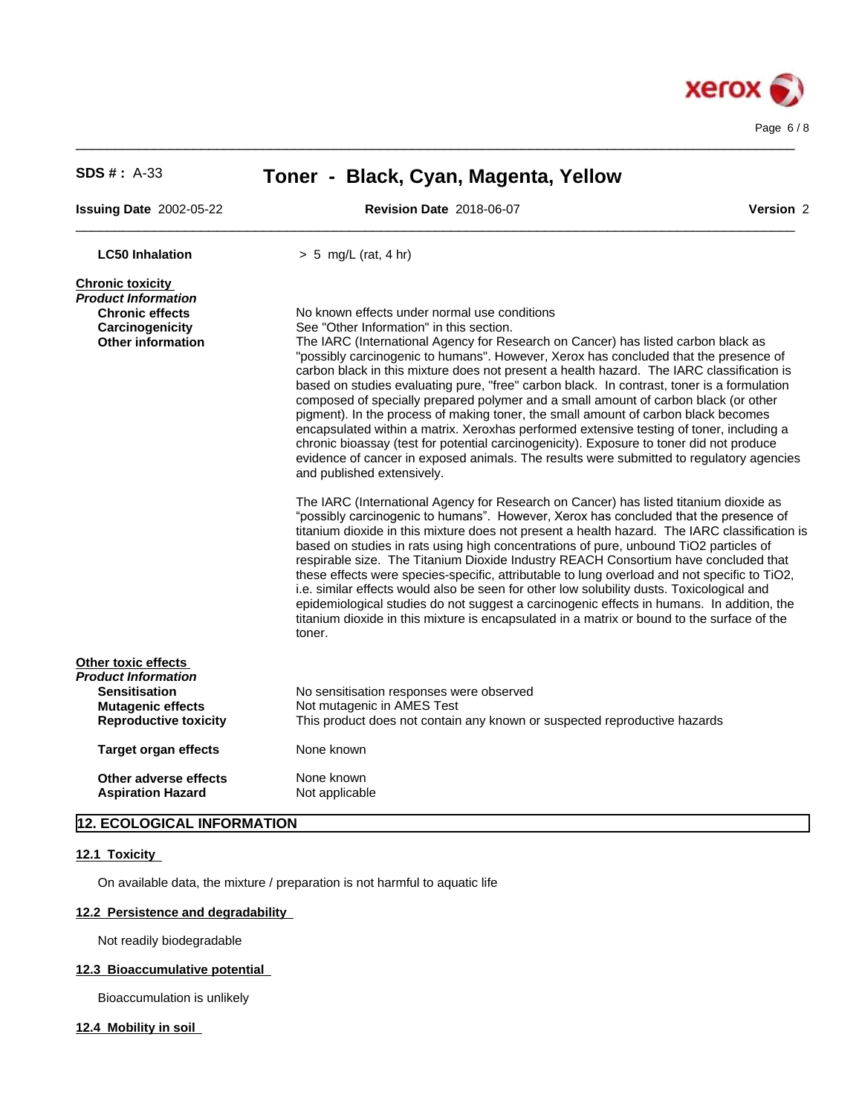

| <b>SDS #: A-33</b>                                                                                             | Toner - Black, Cyan, Magenta, Yellow                                                                                                                                                                                                                                                                                                                                                                                                                                                                                                                                                                                                                                                                                                                                                                                                                                |           |  |
|----------------------------------------------------------------------------------------------------------------|---------------------------------------------------------------------------------------------------------------------------------------------------------------------------------------------------------------------------------------------------------------------------------------------------------------------------------------------------------------------------------------------------------------------------------------------------------------------------------------------------------------------------------------------------------------------------------------------------------------------------------------------------------------------------------------------------------------------------------------------------------------------------------------------------------------------------------------------------------------------|-----------|--|
| <b>Issuing Date 2002-05-22</b>                                                                                 | <b>Revision Date 2018-06-07</b>                                                                                                                                                                                                                                                                                                                                                                                                                                                                                                                                                                                                                                                                                                                                                                                                                                     | Version 2 |  |
| <b>LC50 Inhalation</b>                                                                                         | $> 5$ mg/L (rat, 4 hr)                                                                                                                                                                                                                                                                                                                                                                                                                                                                                                                                                                                                                                                                                                                                                                                                                                              |           |  |
| <b>Chronic toxicity</b>                                                                                        |                                                                                                                                                                                                                                                                                                                                                                                                                                                                                                                                                                                                                                                                                                                                                                                                                                                                     |           |  |
| <b>Product Information</b>                                                                                     |                                                                                                                                                                                                                                                                                                                                                                                                                                                                                                                                                                                                                                                                                                                                                                                                                                                                     |           |  |
| <b>Chronic effects</b><br>Carcinogenicity                                                                      | No known effects under normal use conditions<br>See "Other Information" in this section.                                                                                                                                                                                                                                                                                                                                                                                                                                                                                                                                                                                                                                                                                                                                                                            |           |  |
| <b>Other information</b>                                                                                       | The IARC (International Agency for Research on Cancer) has listed carbon black as<br>"possibly carcinogenic to humans". However, Xerox has concluded that the presence of<br>carbon black in this mixture does not present a health hazard. The IARC classification is<br>based on studies evaluating pure, "free" carbon black. In contrast, toner is a formulation<br>composed of specially prepared polymer and a small amount of carbon black (or other<br>pigment). In the process of making toner, the small amount of carbon black becomes<br>encapsulated within a matrix. Xeroxhas performed extensive testing of toner, including a<br>chronic bioassay (test for potential carcinogenicity). Exposure to toner did not produce<br>evidence of cancer in exposed animals. The results were submitted to regulatory agencies<br>and published extensively. |           |  |
|                                                                                                                | The IARC (International Agency for Research on Cancer) has listed titanium dioxide as<br>"possibly carcinogenic to humans". However, Xerox has concluded that the presence of<br>titanium dioxide in this mixture does not present a health hazard. The IARC classification is<br>based on studies in rats using high concentrations of pure, unbound TiO2 particles of<br>respirable size. The Titanium Dioxide Industry REACH Consortium have concluded that<br>these effects were species-specific, attributable to lung overload and not specific to TiO2,<br>i.e. similar effects would also be seen for other low solubility dusts. Toxicological and<br>epidemiological studies do not suggest a carcinogenic effects in humans. In addition, the<br>titanium dioxide in this mixture is encapsulated in a matrix or bound to the surface of the<br>toner.   |           |  |
| Other toxic effects                                                                                            |                                                                                                                                                                                                                                                                                                                                                                                                                                                                                                                                                                                                                                                                                                                                                                                                                                                                     |           |  |
| <b>Product Information</b><br><b>Sensitisation</b><br><b>Mutagenic effects</b><br><b>Reproductive toxicity</b> | No sensitisation responses were observed<br>Not mutagenic in AMES Test<br>This product does not contain any known or suspected reproductive hazards                                                                                                                                                                                                                                                                                                                                                                                                                                                                                                                                                                                                                                                                                                                 |           |  |
| <b>Target organ effects</b>                                                                                    | None known                                                                                                                                                                                                                                                                                                                                                                                                                                                                                                                                                                                                                                                                                                                                                                                                                                                          |           |  |
| Other adverse effects<br><b>Aspiration Hazard</b>                                                              | None known<br>Not applicable                                                                                                                                                                                                                                                                                                                                                                                                                                                                                                                                                                                                                                                                                                                                                                                                                                        |           |  |

 $\_$  ,  $\_$  ,  $\_$  ,  $\_$  ,  $\_$  ,  $\_$  ,  $\_$  ,  $\_$  ,  $\_$  ,  $\_$  ,  $\_$  ,  $\_$  ,  $\_$  ,  $\_$  ,  $\_$  ,  $\_$  ,  $\_$  ,  $\_$  ,  $\_$  ,  $\_$  ,  $\_$  ,  $\_$  ,  $\_$  ,  $\_$  ,  $\_$  ,  $\_$  ,  $\_$  ,  $\_$  ,  $\_$  ,  $\_$  ,  $\_$  ,  $\_$  ,  $\_$  ,  $\_$  ,  $\_$  ,  $\_$  ,  $\_$  ,

# **12. ECOLOGICAL INFORMATION**

## **12.1 Toxicity**

On available data, the mixture / preparation is not harmful to aquatic life

## **12.2 Persistence and degradability**

Not readily biodegradable

## **12.3 Bioaccumulative potential**

Bioaccumulation is unlikely

**12.4 Mobility in soil**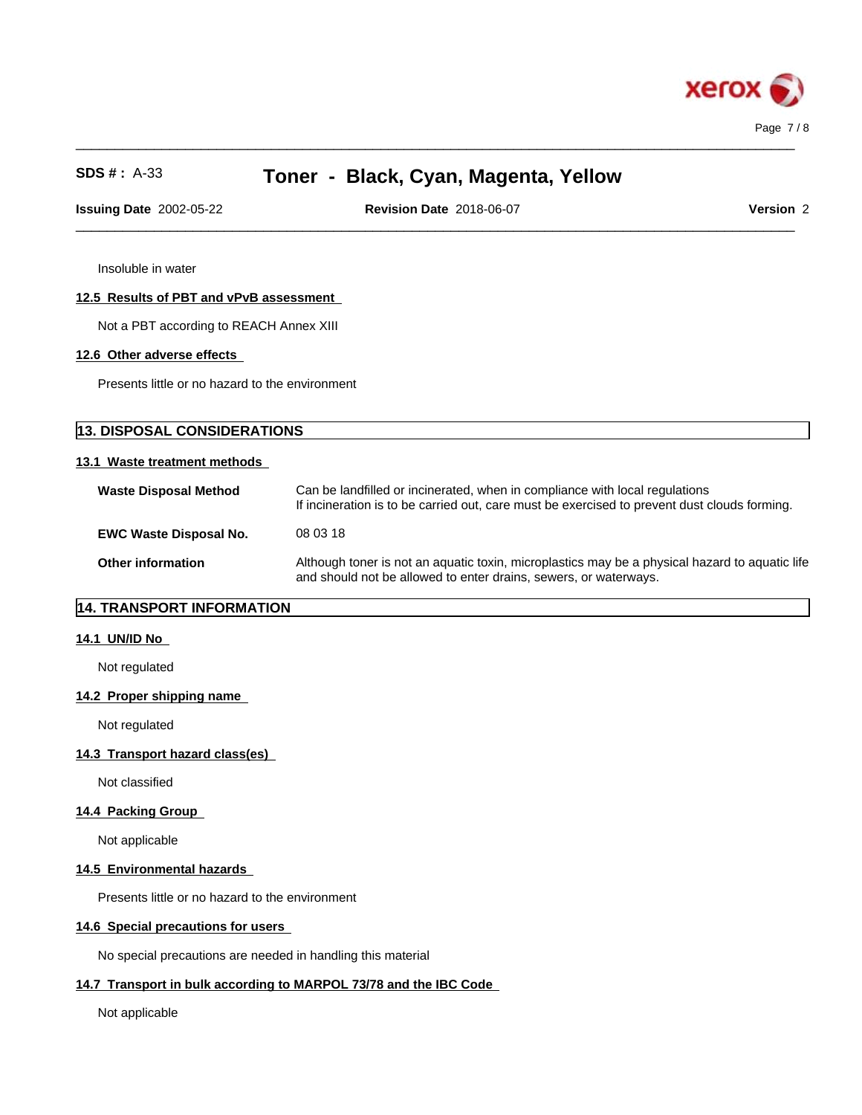

**Issuing Date** 2002-05-22 **Revision Date** 2018-06-07 **Version** 2

 $\_$  ,  $\_$  ,  $\_$  ,  $\_$  ,  $\_$  ,  $\_$  ,  $\_$  ,  $\_$  ,  $\_$  ,  $\_$  ,  $\_$  ,  $\_$  ,  $\_$  ,  $\_$  ,  $\_$  ,  $\_$  ,  $\_$  ,  $\_$  ,  $\_$  ,  $\_$  ,  $\_$  ,  $\_$  ,  $\_$  ,  $\_$  ,  $\_$  ,  $\_$  ,  $\_$  ,  $\_$  ,  $\_$  ,  $\_$  ,  $\_$  ,  $\_$  ,  $\_$  ,  $\_$  ,  $\_$  ,  $\_$  ,  $\_$  ,

 $\_$  ,  $\_$  ,  $\_$  ,  $\_$  ,  $\_$  ,  $\_$  ,  $\_$  ,  $\_$  ,  $\_$  ,  $\_$  ,  $\_$  ,  $\_$  ,  $\_$  ,  $\_$  ,  $\_$  ,  $\_$  ,  $\_$  ,  $\_$  ,  $\_$  ,  $\_$  ,  $\_$  ,  $\_$  ,  $\_$  ,  $\_$  ,  $\_$  ,  $\_$  ,  $\_$  ,  $\_$  ,  $\_$  ,  $\_$  ,  $\_$  ,  $\_$  ,  $\_$  ,  $\_$  ,  $\_$  ,  $\_$  ,  $\_$  ,

Insoluble in water

### **12.5 Results of PBT and vPvB assessment**

Not a PBT according to REACH Annex XIII

### **12.6 Other adverse effects**

Presents little or no hazard to the environment

| <b>13. DISPOSAL CONSIDERATIONS</b> |                                                                                                                                                                             |  |
|------------------------------------|-----------------------------------------------------------------------------------------------------------------------------------------------------------------------------|--|
| 13.1 Waste treatment methods       |                                                                                                                                                                             |  |
| <b>Waste Disposal Method</b>       | Can be landfilled or incinerated, when in compliance with local regulations<br>If incineration is to be carried out, care must be exercised to prevent dust clouds forming. |  |
| <b>EWC Waste Disposal No.</b>      | 08 03 18                                                                                                                                                                    |  |
| <b>Other information</b>           | Although toner is not an aquatic toxin, microplastics may be a physical hazard to aquatic life<br>and should not be allowed to enter drains, sewers, or waterways.          |  |

## **14. TRANSPORT INFORMATION**

### **14.1 UN/ID No**

Not regulated

## **14.2 Proper shipping name**

Not regulated

## **14.3 Transport hazard class(es)**

Not classified

## **14.4 Packing Group**

Not applicable

## **14.5 Environmental hazards**

Presents little or no hazard to the environment

#### **14.6 Special precautions for users**

No special precautions are needed in handling this material

## **14.7 Transport in bulk according to MARPOL 73/78 and the IBC Code**

Not applicable